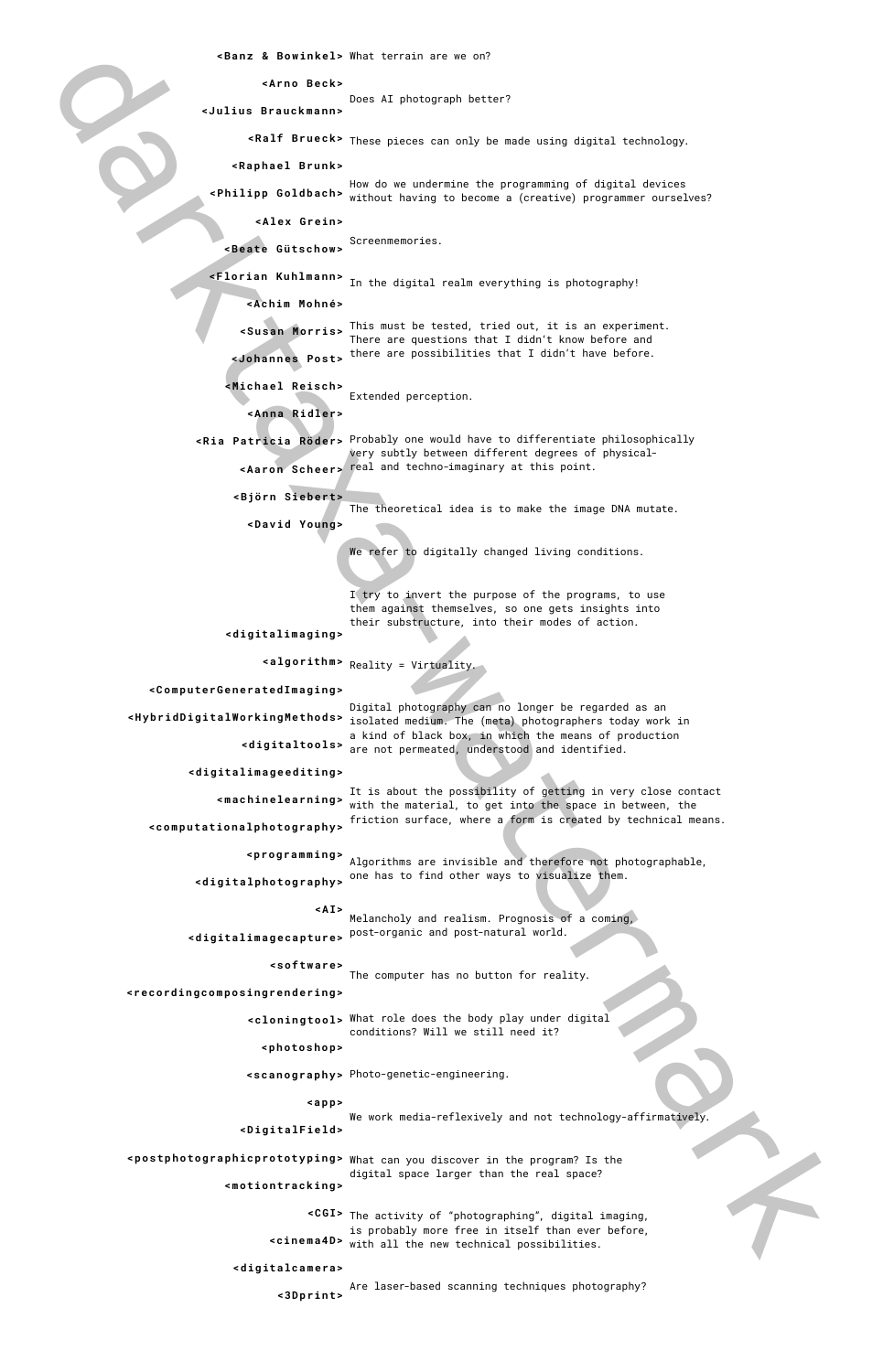Does AI photograph better?

How do we undermine the programming of digital devices <Philipp Goldbach> without having to become a (creative) programmer ourselves?

The theoretical idea is to make the image DNA mutate.

I try to invert the purpose of the programs, to use them against themselves, so one gets insights into their substructure, into their modes of action.

The activity of "photographing", digital imaging, **<CGI>** is probably more free in itself than ever before, **<cinema4D>** with all the new technical possibilities.

 $\le$  Susan Morris> This must be tested, tried out, it is an experiment. There are questions that I didn't know before and there are possibilities that I didn't have before. **<Johannes Post>**

Screenmemories. **<Beate Gütschow>**

**<Florian Kuhlmann>** In the digital realm everything is photography!

Extended perception. **<Michael Reisch>**

**<postphotographicprototyping>** What can you discover in the program? Is the digital space larger than the real space? **<motiontracking>**

Probably one would have to differentiate philosophically **<Ria Patricia Röder>** very subtly between different degrees of physicalreal and techno-imaginary at this point. **<Aaron Scheer>**

The computer has no button for reality.

What role does the body play under digital **<cloningtool>** conditions? Will we still need it?

Reality = Virtuality. **<algorithm>**

It is about the possibility of getting in very close contact with the material, to get into the space in between, the friction surface, where a form is created by technical means. **<computationalphotography>**

Algorithms are invisible and therefore not photographable, **<programming>** one has to find other ways to visualize them. **<digitalphotography>**

Melancholy and realism. Prognosis of a coming, post-organic and post-natural world. **<digitalimagecapture> <A I>**

**<Banz & Bowinkel>** What terrain are we on?

**<Ar n o B e c k>** 

**<J uliu s Bra u c k m a n n >** 

**<Ralf Brueck>** These pieces can only be made using digital technology.

**<R a p h a el Br u n k>** 

Photo-genetic-engineering. **<scanography>**

**<Alex Grein>**

We work media-reflexively and not technology-affirmatively. **<app> <DigitalField>**

**<Achim Mohné>**

**<Anna Ridler>**

**<Björn Siebert>**

**<David Young>** 

We refer to digitally changed living conditions.

**<digitalimaging>**

Are laser-based scanning techniques photography? **<3Dprint>**

**<ComputerGeneratedImaging>**

darkta kan mentre alle den mentre alle den mentre alle de mentre alle de mentre alle de mentre alle de mentre alle de mentre alle de mentre alle de mentre alle de mentre alle de mentre alle de mentre alle de mentre alle d Digital photography can no longer be regarded as an **<HybridDigitalWorkingMethods>** isolated medium. The (meta) photographers today work in a kind of black box, in which the means of production <digitaltools> are not permeated, understood and identified.

**<digitalimageediting>**

**<machinelearning>**

**<software>**

**<recordingcomposingrendering>**

**<photoshop>**

**<digitalcamera>**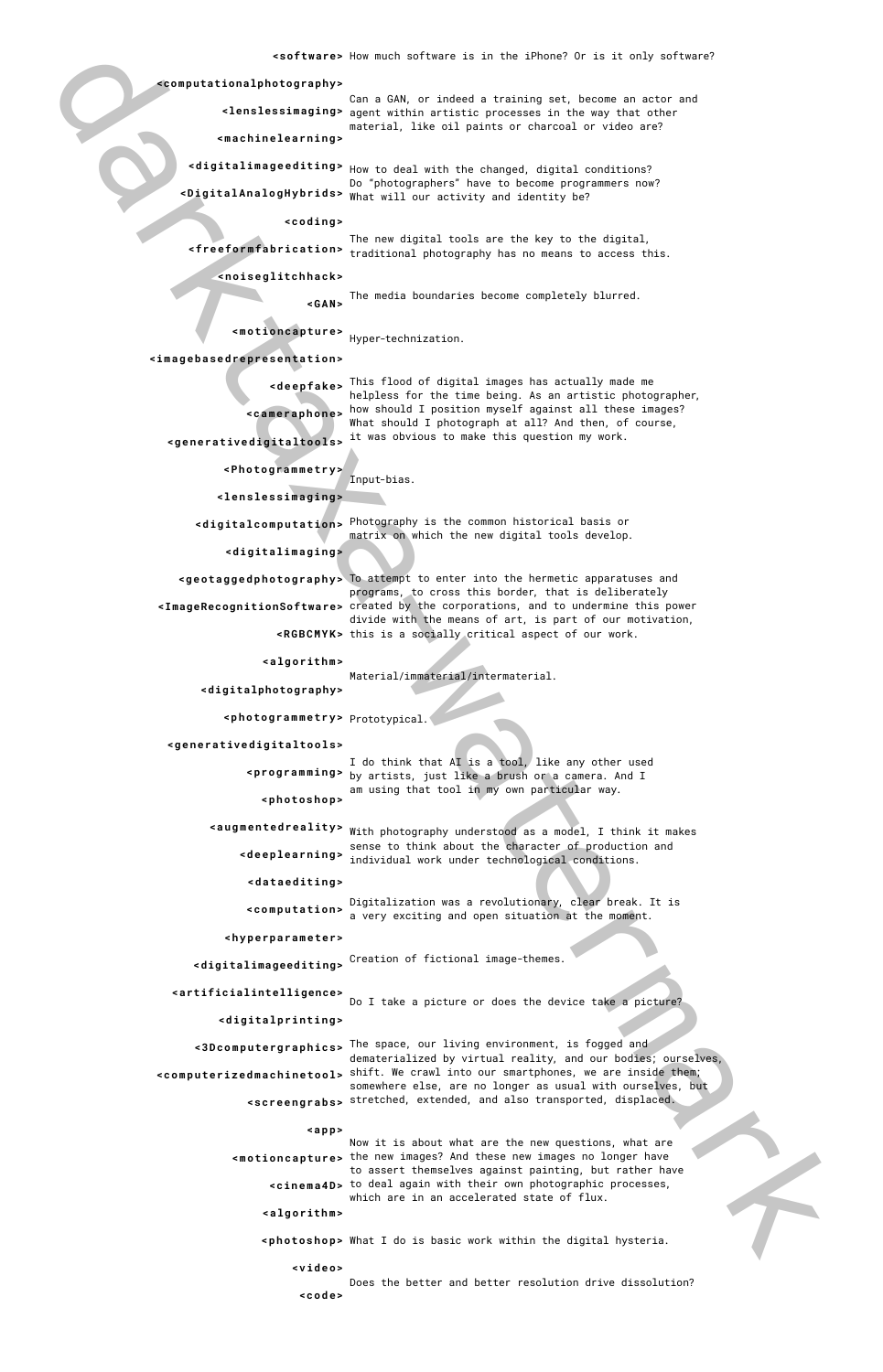helpless for the time being. As an artistic photographer,

What should I photograph at all? And then, of course,

Input-bias.

ŗ,

Material/immaterial/intermaterial.

Can a GAN, or indeed a training set, become an actor and **<lenslessimaging>** agent within artistic processes in the way that other material, like oil paints or charcoal or video are? **<machinelearning>**

**<digitalimageediting>** How to deal with the changed, digital conditions? Do "photographers" have to become programmers now? **<DigitalAnalogHybrids>** What will our activity and identity be?

۹ **<lenslessimaging>**

The new digital tools are the key to the digital, traditional photography has no means to access this. **<freeformfabrication>**

The media boundaries become completely blurred. **<GAN>**

Hyper-technization. **<motioncapture>**

This flood of digital images has actually made me **<deepfake>**

how should I position myself against all these images? **<cameraphone>**

**<generativedigitaltools>** <sup>it was obvious to make this question my work.</sup>

Do I take a picture or does the device take a picture?

Photography is the common historical basis or **<digitalcomputation>** matrix on which the new digital tools develop. **<digitalimaging>**

**<geotaggedphotography>** To attempt to enter into the hermetic apparatuses and programs, to cross this border, that is deliberately **<ImageRecognitionSoftware>** created by the corporations, and to undermine this power divide with the means of art, is part of our motivation, **<RGBCMYK>** this is a socially critical aspect of our work.

Prototypical. **<photogrammetry>**

I do think that AI is a tool, like any other used by artists, just like a brush or a camera. And I **<programming>** am using that tool in my own particular way. **<photoshop>**

Now it is about what are the new questions, what are the new images? And these new images no longer have **<motioncapture>** to assert themselves against painting, but rather have **<cinema4D>** to deal again with their own photographic processes, which are in an accelerated state of flux.

With photography understood as a model, I think it makes **<augmentedreality>**

sense to think about the character of production and individual work under technological conditions. **<deeplearning>**

Digitalization was a revolutionary, clear break. It is a very exciting and open situation at the moment. **<computation>**

Creation of fictional image-themes. **<digitalimageediting>**

**<computationalphotography>**

**<coding>**

**<noiseglitchhack>**

**<imagebasedrepresentation>**

**<Photogrammetry>**

Does the better and better resolution drive dissolution? **<code>**

**<algorithm>**

**<digitalphotography>**

**<generativedigitaltools>**

**<dataediting>**

**<hyperparameter>**

**<artificialintelligence>**

**<digitalprinting>**

darktaxa-watermark The space, our living environment, is fogged and **<3Dcomputergraphics>** dematerialized by virtual reality, and our bodies; ourselves, **<computerizedmachinetool>** shift. We crawl into our smartphones, we are inside them; somewhere else, are no longer as usual with ourselves, but  $\leq$  screengrabs> stretched, extended, and also transported, displaced.

#### **<app>**

**<algorithm>**

**<photoshop>** What I do is basic work within the digital hysteria.

**<video>**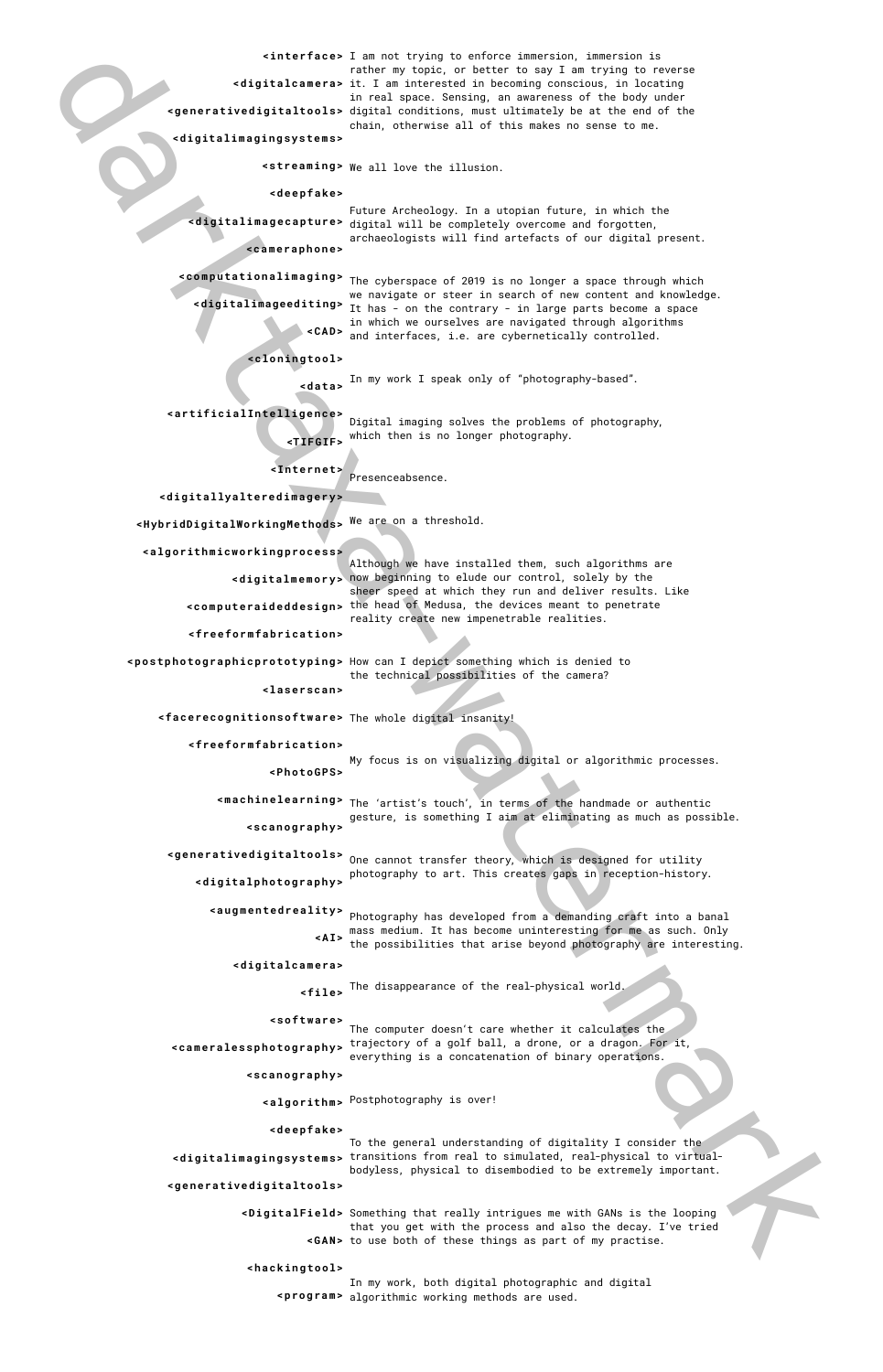darktaxa-watermark I am not trying to enforce immersion, immersion is **<interface>** rather my topic, or better to say I am trying to reverse **<digitalcamera>** it. I am interested in becoming conscious, in locating in real space. Sensing, an awareness of the body under **<generativedigitaltools>** digital conditions, must ultimately be at the end of the chain, otherwise all of this makes no sense to me.

**<postphotographicprototyping>** How can I depict something which is denied to the technical possibilities of the camera?

Presenceabsence.

**<cameralessphotography>** trajectory of a golf ball, a drone, or a dragon. For it, everything is a concatenation of binary operations.

Although we have installed them, such algorithms are now beginning to elude our control, solely by the **<digitalmemory>** sheer speed at which they run and deliver results. Like **<computeraideddesign>** the head of Medusa, the devices meant to penetrate reality create new impenetrable realities.

My focus is on visualizing digital or algorithmic processes.

We all love the illusion. **<streaming>**

Future Archeology. In a utopian future, in which the **<digitalimagecapture>** digital will be completely overcome and forgotten, archaeologists will find artefacts of our digital present. **<cameraphone>**

 $\epsilon$  machinelearning>  $\tau$ he 'artist's touch', in terms of the handmade or authentic gesture, is something I aim at eliminating as much as possible. **<scanography>**

**<generativedigitaltools>** One cannot transfer theory, which is designed for utility photography to art. This creates gaps in reception-history. **<digitalphotography>**

The cyberspace of 2019 is no longer a space through which **<computationalimaging>**

we navigate or steer in search of new content and knowledge. **<digitalimageediting>** It has - on the contrary - in large parts become a space in which we ourselves are navigated through algorithms and interfaces, i.e. are cybernetically controlled. **<CAD>**

In my work I speak only of "photography-based". **<data>**

Digital imaging solves the problems of photography, **<artificialIntelligence>** which then is no longer photography. **<TIFGIF>**

The computer doesn't care whether it calculates the

The whole digital insanity! **<facerecognitionsoftware>**

Photography has developed from a demanding craft into a banal **<augmentedreality>** mass medium. It has become uninteresting for me as such. Only the possibilities that arise beyond photography are interesting. **<A I>**

The disappearance of the real-physical world. **<file>**

**<digitalimagingsystems>**

**<deepfake>**

Postphotography is over! **<algorithm>**

To the general understanding of digitality I consider the **<digitalimagingsystems>** transitions from real to simulated, real-physical to virtualbodyless, physical to disembodied to be extremely important. **<generativedigitaltools>**

> **<DigitalField>** Something that really intrigues me with GANs is the looping that you get with the process and also the decay. I've tried **<GAN>** to use both of these things as part of my practise.

**<cloningtool>**

**<Internet>**

```
<digitallyalteredimagery>
```
**<HybridDigitalWorkingMethods>** We are on a threshold.

**<algorithmicworkingprocess>**

In my work, both digital photographic and digital algorithmic working methods are used. **<program>**

**<freeformfabrication>**

**<laserscan>**

**<freeformfabrication>**

**<PhotoGPS>**

**<digitalcamera>**

**<software>**

**<scanography>**

### **<deepfake>**

**<hackingtool>**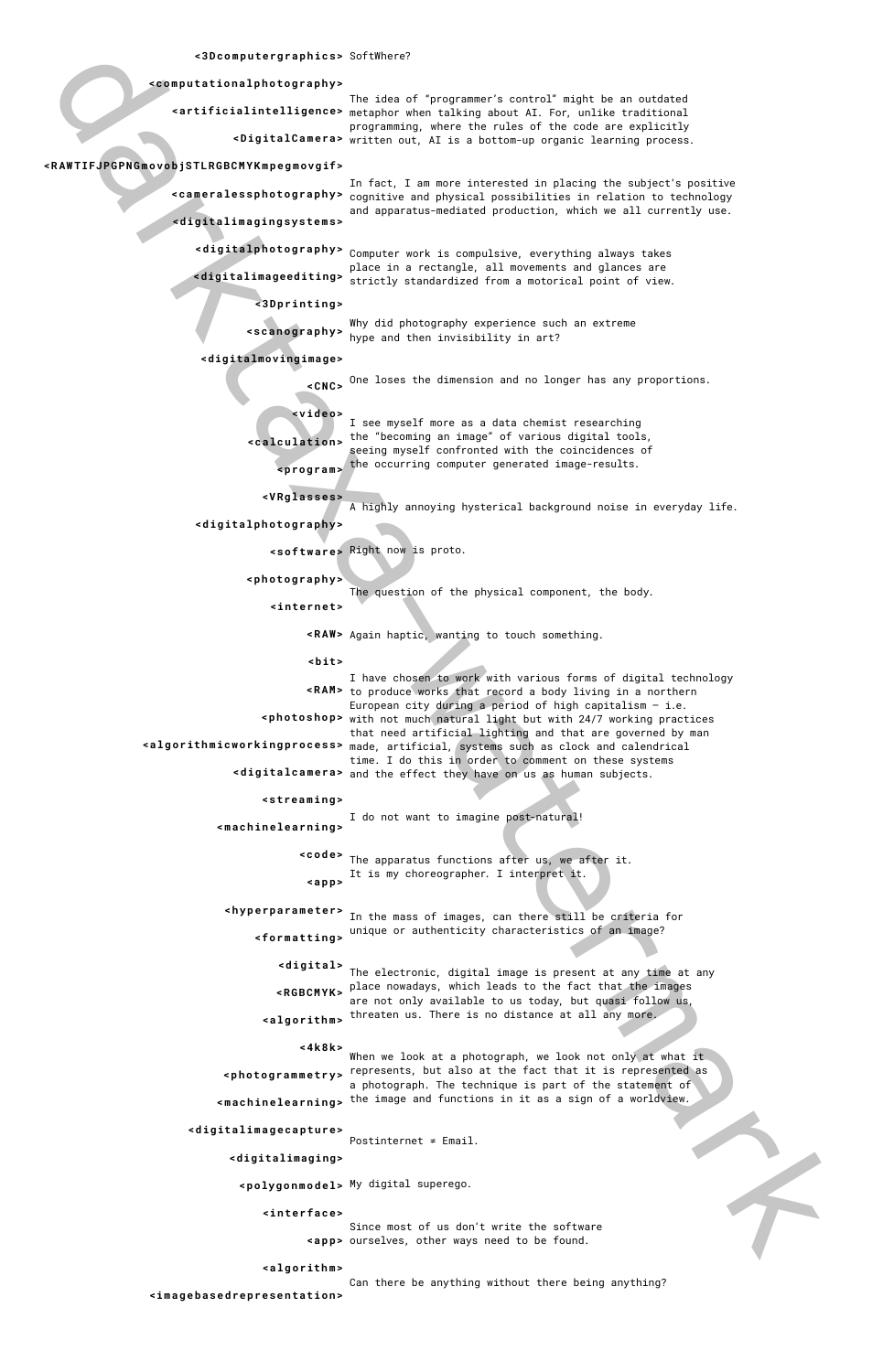The idea of "programmer's control" might be an outdated metaphor when talking about AI. For, unlike traditional **<artificialintelligence>** programming, where the rules of the code are explicitly **<DigitalCamera>** written out, AI is a bottom-up organic learning process.

> Why did photography experience such an extreme scanography>  $\frac{m}{n}$  hype and then invisibility in art?

> > A highly annoying hysterical background noise in everyday life.

The question of the physical component, the body.

```
N
<photography>
```
In fact, I am more interested in placing the subject's positive **<cameralessphotography>** <sub>COgnitive and physical possibilities in relation to technology</sub> and apparatus-mediated production, which we all currently use. **<digitalimagingsystems>**

**<digitalphotography>** <code>Computer</code> work is compulsive, everything always takes place in a rectangle, all movements and glances are **<digitalimageediting>** strictly standardized from a motorical point of view.

darktaxa-watermark I have chosen to work with various forms of digital technology **<RAM>** to produce works that record a body living in a northern European city during a period of high capitalism  $-$  i.e. **<photoshop>** with not much natural light but with 24/7 working practices that need artificial lighting and that are governed by man made, artificial, systems such as clock and calendrical **<algorithmicworkingprocess>** time. I do this in order to comment on these systems <digitalcamera> and the effect they have on us as human subjects. **<streaming>**

The apparatus functions after us, we after it. **<code>** It is my choreographer. I interpret it.

One loses the dimension and no longer has any proportions. **<CNC>**

I see myself more as a data chemist researching the "becoming an image" of various digital tools, **<calculation>** seeing myself confronted with the coincidences of the occurring computer generated image-results. **<program>**

Right now is proto. **<software>**

Again haptic, wanting to touch something. **<RAW>**

I do not want to imagine post-natural! **<machinelearning>**

Postinternet ≠ Email.

In the mass of images, can there still be criteria for **<hyperparameter>** unique or authenticity characteristics of an image? **<formatting>**

The electronic, digital image is present at any time at any place nowadays, which leads to the fact that the images **<RGBCMYK>** are not only available to us today, but quasi follow us, threaten us. There is no distance at all any more. **<algorithm> <digital>**

**<computationalphotography>**

When we look at a photograph, we look not only at what it represents, but also at the fact that it is represented as **<photogrammetry>** a photograph. The technique is part of the statement of **<machinelearning>** <sup>the image and functions in it as a sign of a worldview.</sup> **<4k8k>**

# **<RAWTIFJPGPNGmovobjSTLRGBCMYKmpegmovgif>**

**<3Dprinting>**

My digital superego. **<polygonmodel>**

#### **<digitalmovingimage>**

Since most of us don't write the software ourselves, other ways need to be found. **<app>**

```
<video>
```

```
<VRglasses>
```
**<digitalphotography>**

Can there be anything without there being anything? **<imagebasedrepresentation>**

**<internet>**

**<bit>**

**<app>**

# **<digitalimagecapture>**

**<digitalimaging>**

**<interface>**

**<algorithm>**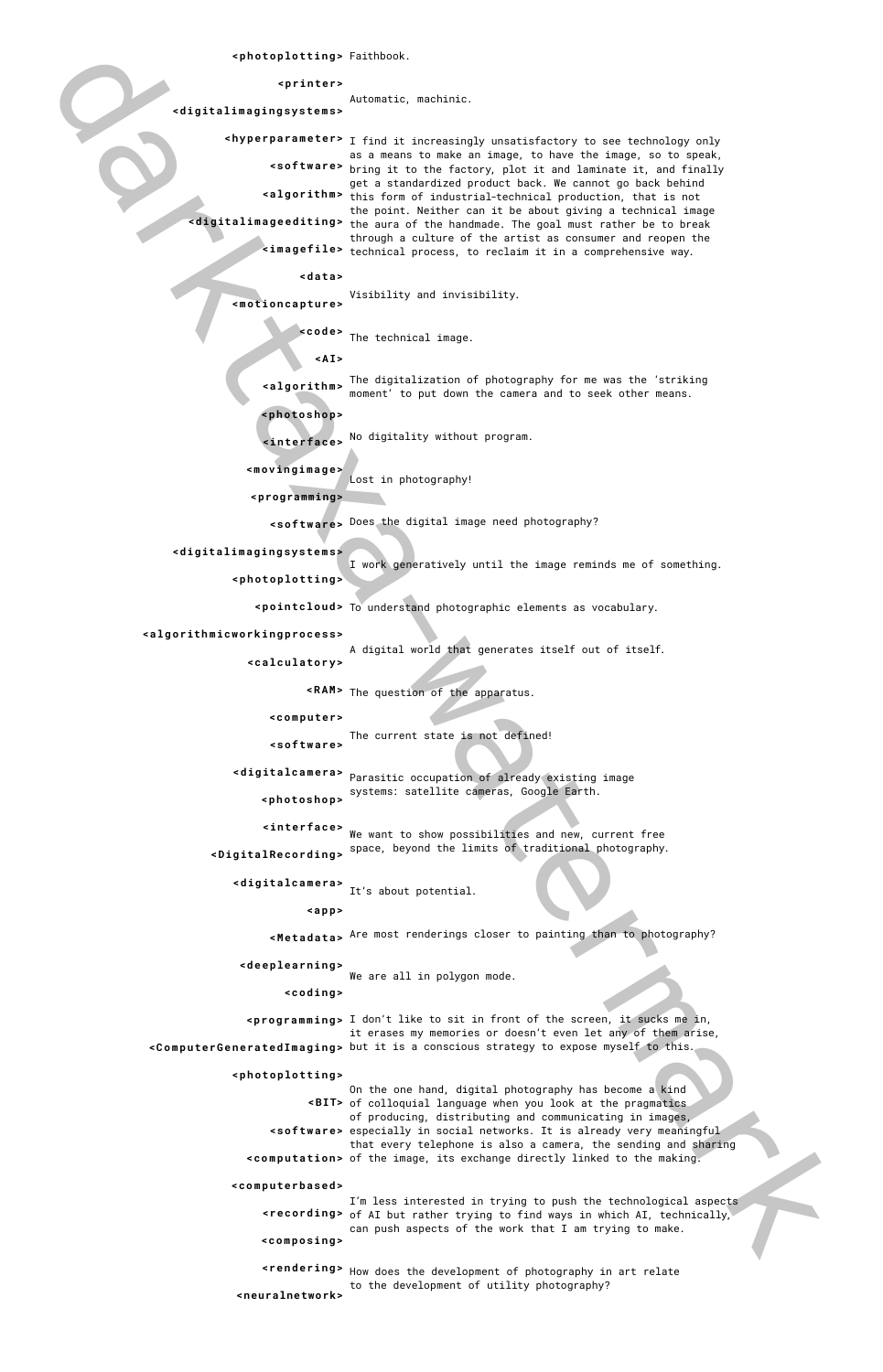Automatic, machinic.

Visibility and invisibility.

On the one hand, digital photography has become a kind of colloquial language when you look at the pragmatics **<BIT>** of producing, distributing and communicating in images, especially in social networks. It is already very meaningful **<software>** that every telephone is also a camera, the sending and sharing **<computation>** of the image, its exchange directly linked to the making.

Lost in photography!

I work generatively until the image reminds me of something.

A digital world that generates itself out of itself.

Faithbook. **<photoplotting>**

۹ **<programming>**

**<digitalcamera>** Parasitic occupation of already existing image systems: satellite cameras, Google Earth. **<photoshop>**

**<interface>** We want to show possibilities and new, current free

We are all in polygon mode.

 $\epsilon$ **rendering>** How does the development of photography in art relate to the development of utility photography? **<neuralnetwork>**

The digitalization of photography for me was the 'striking moment' to put down the camera and to seek other means. **<algorithm>**

No digitality without program. **<interface>**

Does the digital image need photography? **<software>**

The current state is not defined! **<software>**

space, beyond the limits of traditional photography. **<DigitalRecording>**

It's about potential. **<digitalcamera>**

Are most renderings closer to painting than to photography? **<Metadata>**

**<printer>**

**<digitalimagingsystems>**

darktaxa-watermark **<hyperparameter>** I find it increasingly unsatisfactory to see technology only as a means to make an image, to have the image, so to speak, bring it to the factory, plot it and laminate it, and finally **<software>** get a standardized product back. We cannot go back behind this form of industrial-technical production, that is not **<algorithm>** the point. Neither can it be about giving a technical image **<digitalimageediting>** the aura of the handmade. The goal must rather be to break through a culture of the artist as consumer and reopen the  $\epsilon$ **imagefile>** technical process, to reclaim it in a comprehensive way.

**<data>**

**<motioncapture>**

kcode> The technical image.

**<A I>**

I'm less interested in trying to push the technological aspects **krecording>** of AI but rather trying to find ways in which AI, technically, can push aspects of the work that I am trying to make. **<composing>**

**<photoshop>**

```
<movingimage>
```
**<digitalimagingsystems>**

**<photoplotting>**

 $\epsilon$ **pointcloud>** To understand photographic elements as vocabulary.

**<algorithmicworkingprocess>**

**<calculatory>**

Ĭ,

**<RAM>** The question of the apparatus.

**<computer>**

**<app>**

**<deeplearning>**

```
<coding>
```
**<programming>** I don't like to sit in front of the screen, it sucks me in, it erases my memories or doesn't even let any of them arise

**<ComputerGeneratedImaging>** but it is a conscious strategy to expose myself to this.

## **<photoplotting>**

## **<computerbased>**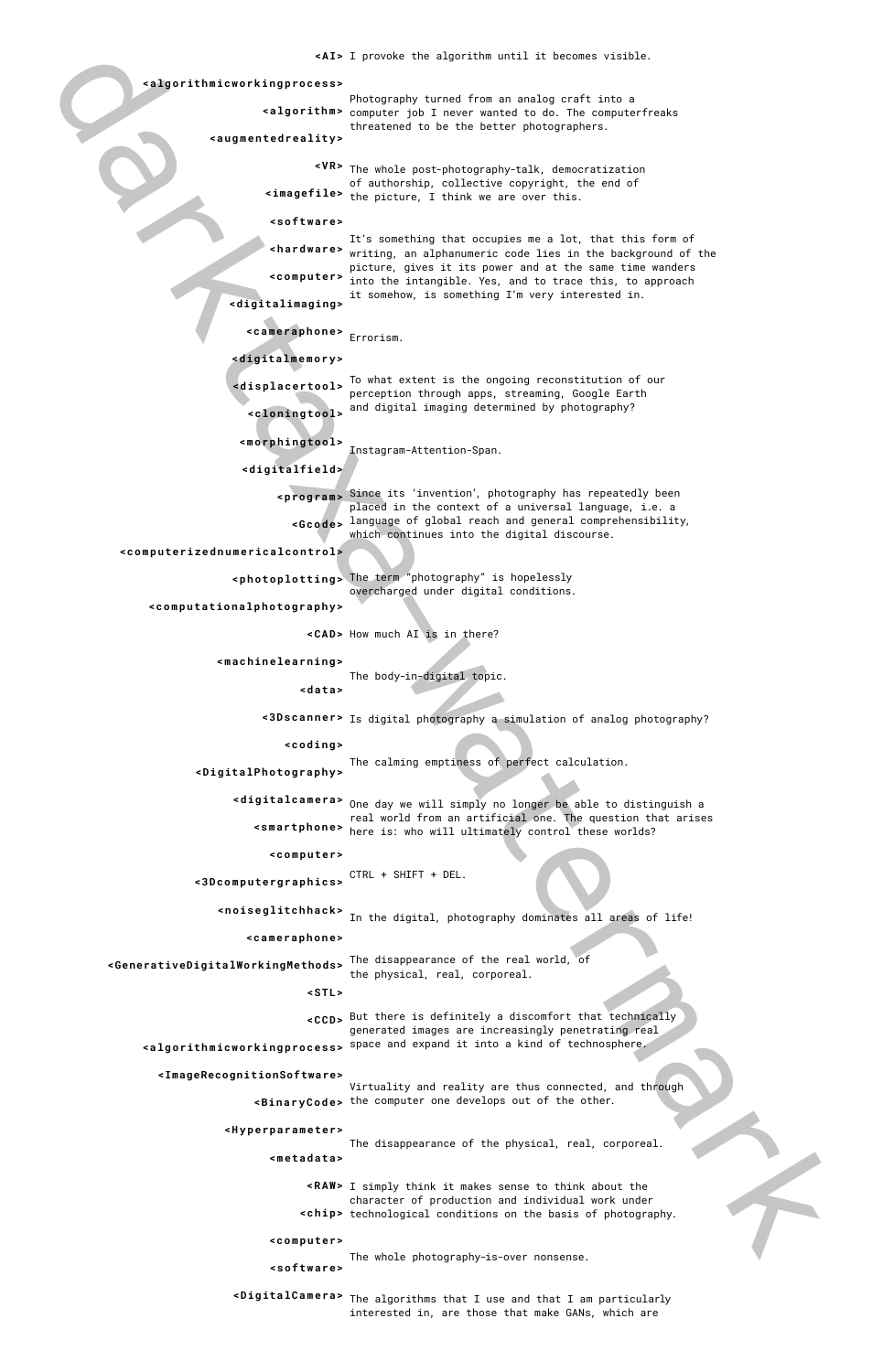The whole post-photography-talk, democratization **<V R>** of authorship, collective copyright, the end of **<imagefile>** the picture, I think we are over this.

Photography turned from an analog craft into a computer job I never wanted to do. The computerfreaks **<algorithm>** threatened to be the better photographers.

darktaxa-watermark It's something that occupies me a lot, that this form of  $\epsilon$ hardware> writing, an alphanumeric code lies in the background of the picture, gives it its power and at the same time wanders into the intangible. Yes, and to trace this, to approach **<computer>** it somehow, is something I'm very interested in.

Instagram-Attention-Span.

7

Virtuality and reality are thus connected, and through **<BinaryCode>** the computer one develops out of the other.

Since its 'invention', photography has repeatedly been **<program>** placed in the context of a universal language, i.e. a language of global reach and general comprehensibility, **<Gcode>** which continues into the digital discourse.

I simply think it makes sense to think about the **<RAW>** character of production and individual work under <chip> technological conditions on the basis of photography.

The term "photography" is hopelessly **<photoplotting>** overcharged under digital conditions.

I provoke the algorithm until it becomes visible. **<A I>**

The body-in-digital topic.

The calming emptiness of perfect calculation.

Errorism. **<cameraphone>**

To what extent is the ongoing reconstitution of our **<displacertool>** perception through apps, streaming, Google Earth and digital imaging determined by photography? **<cloningtool>**

The disappearance of the real world, of **<GenerativeDigitalWorkingMethods>** the physical, real, corporeal.

> But there is definitely a discomfort that technically **<CCD>** generated images are increasingly penetrating real

Is digital photography a simulation of analog photography? **<3Dscanner>**

CTRL + SHIFT + DEL. **<3Dcomputergraphics>**

**k** the digital, photography dominates all areas of life!

The algorithms that I use and that I am particularly **<DigitalCamera>**interested in, are those that make GANs, which are

#### **<algorithmicworkingprocess>**

space and expand it into a kind of technosphere. **<algorithmicworkingprocess>**

**<augmentedreality>**

**<software>**

**<digitalimaging>**

The disappearance of the physical, real, corporeal. **<metadata>**

**<digitalmemory>**

**<morphingtool>**

**<digitalfield>**

**<computerizednumericalcontrol>**

The whole photography-is-over nonsense. **<software>**

**<computationalphotography>**

**<CAD>** How much AI is in there?

**<machinelearning>**

**<data>**

```
<coding>
```
**<DigitalPhotography>**

<digitalcamera> One day we will simply no longer be able to distinguish a real world from an artificial one. The question that arises <smartphone> here is: who will ultimately control these worlds?

```
<computer>
```
#### **<cameraphone>**

**<STL>**

```
<ImageRecognitionSoftware>
```

```
<Hyperparameter>
```
**<computer>**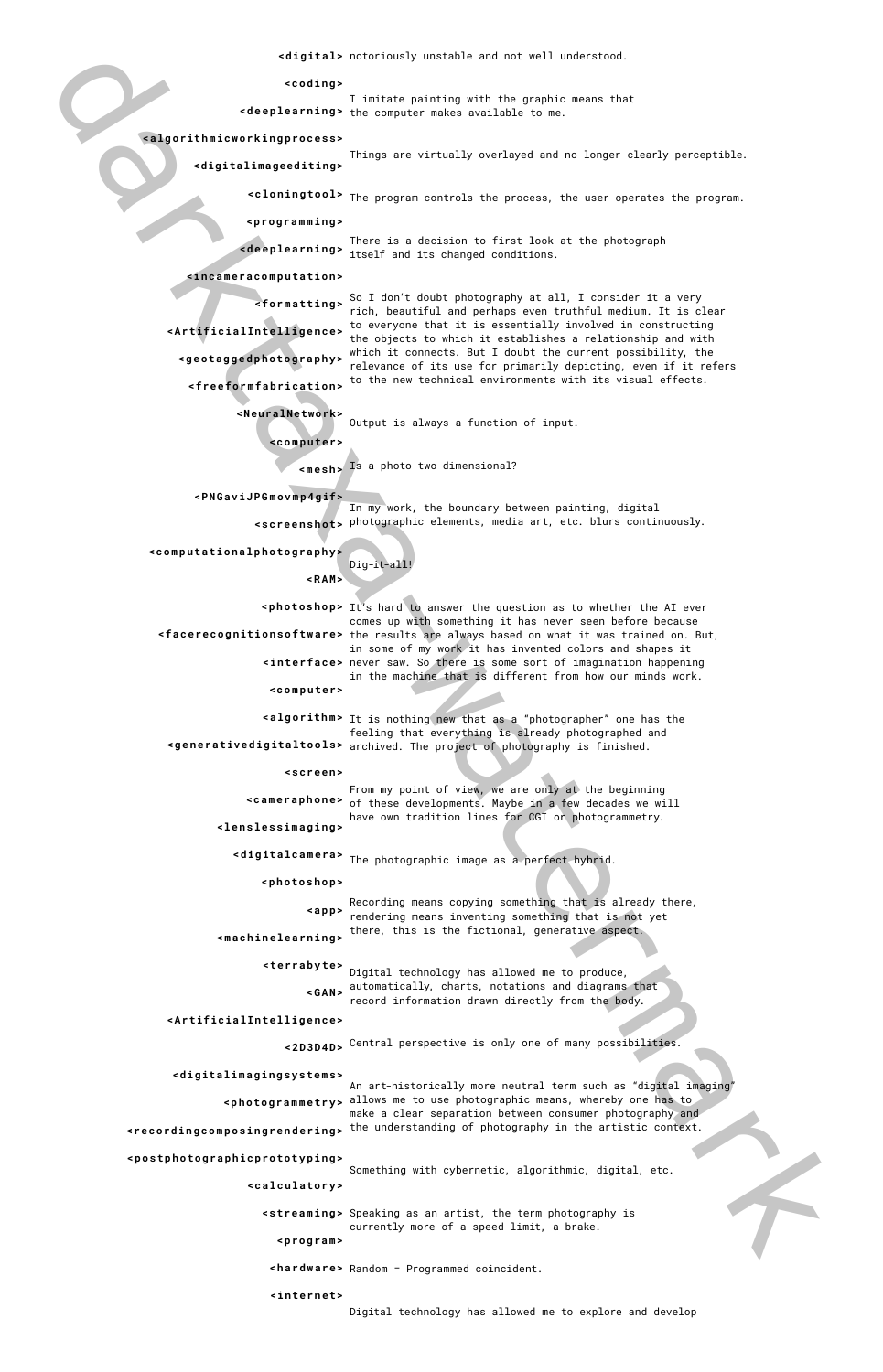I imitate painting with the graphic means that **<deeplearning>** the computer makes available to me.

There is a decision to first look at the photograph **<deeplearning>** itself and its changed conditions.

Things are virtually overlayed and no longer clearly perceptible.

So I don't doubt photography at all, I consider it a very rich, beautiful and perhaps even truthful medium. It is clear **<formatting>** to everyone that it is essentially involved in constructing the objects to which it establishes a relationship and with **<ArtificialIntelligence>** which it connects. But I doubt the current possibility, the relevance of its use for primarily depicting, even if it refers **<geotaggedphotography>** to the new technical environments with its visual effects.

Output is always a function of input.

notoriously unstable and not well understood. **<digital>**

The program controls the process, the user operates the program. **<cloningtool>**

darktaxa-watermark **<photoshop>** It's hard to answer the question as to whether the AI ever comes up with something it has never seen before because **<facerecognitionsoftware>** the results are always based on what it was trained on. But, in some of my work it has invented colors and shapes it **<interface>** never saw. So there is some sort of imagination happening in the machine that is different from how our minds work. **<computer>**

**<algorithm>** It is nothing new that as a "photographer" one has the feeling that everything is already photographed and **<generativedigitaltools>** archived. The project of photography is finished.

> From my point of view, we are only at the beginning <cameraphone> of these developments. Maybe in a few decades we will have own tradition lines for CGI or photogrammetry.

**<streaming>** Speaking as an artist, the term photography is currently more of a speed limit, a brake. **<program>**

Is a photo two-dimensional? **<mesh>**

In my work, the boundary between painting, digital photographic elements, media art, etc. blurs continuously. **<screenshot>**

> Dig-it-all! **<RAM>**

Ĭ,

l.

L

Something with cybernetic, algorithmic, digital, etc.

Recording means copying something that is already there, rendering means inventing something that is not yet there, this is the fictional, generative aspect. **<app>**

Digital technology has allowed me to produce, automatically, charts, notations and diagrams that **<GAN>** record information drawn directly from the body. **<terrabyte>**

Digital technology has allowed me to explore and develop

**<coding>**

Central perspective is only one of many possibilities. **<2D3D4D>**

## **<algorithmicworkingprocess>**

# An art-historically more neutral term such as "digital imaging" **<photogrammetry>** <code>allows</code> me to use photographic means, whereby one has to make a clear separation between consumer photography and **<recordingcomposingrendering>** the understanding of photography in the artistic context. **<digitalimagingsystems>**

**<digitalimageediting>**

**<programming>**

**<incameracomputation>**

**<freeformfabrication>**

**<NeuralNetwork>**

**<computer>**

**<PNGaviJPGmovmp4gif>**

**<computationalphotography>**

Random = Programmed coincident. **<hardware>**

```
<screen>
```
**<lenslessimaging>**

**<digitalcamera>** The photographic image as a perfect hybrid.

**<photoshop>**

**<machinelearning>**

**<ArtificialIntelligence>**

**<postphotographicprototyping>**

**<calculatory>**

**<internet>**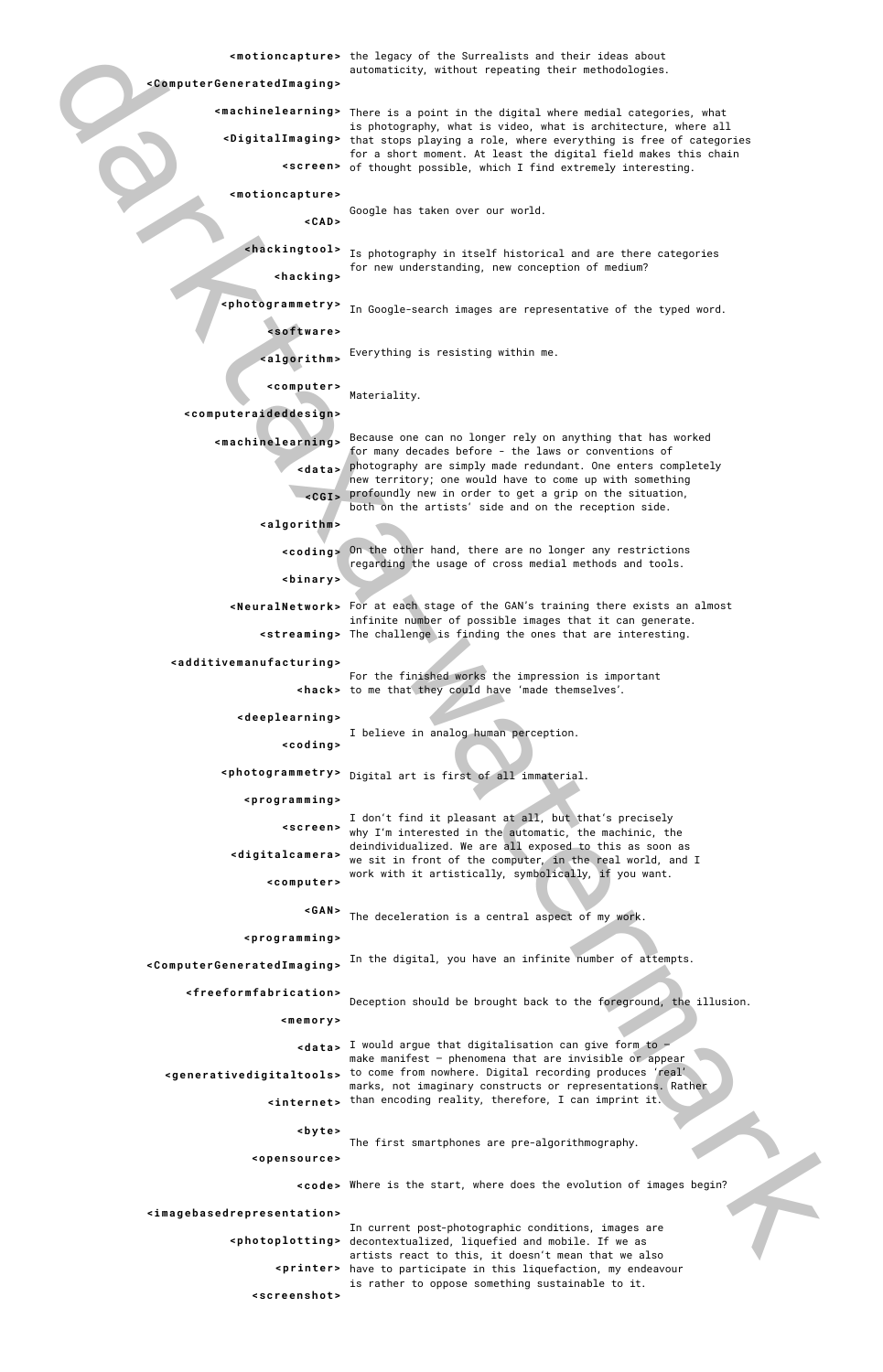**<motioncapture>** the legacy of the Surrealists and their ideas about automaticity, without repeating their methodologies.

> For the finished works the impression is important **khack>** to me that they could have 'made themselves'.

Because one can no longer rely on anything that has worked **<machinelearning>** for many decades before - the laws or conventions of photography are simply made redundant. One enters completely **<data>** new territory; one would have to come up with something profoundly new in order to get a grip on the situation, **<CGI>** both on the artists' side and on the reception side.

**<machinelearning>** There is a point in the digital where medial categories, what is photography, what is video, what is architecture, where all **<DigitalImaging>** that stops playing a role, where everything is free of categories for a short moment. At least the digital field makes this chain of thought possible, which I find extremely interesting. **<screen>**

**<hackingtool>** Is photography in itself historical and are there categories for new understanding, new conception of medium? **<hacking>**

**<photogrammetry>** In Google-search images are representative of the typed word.

Google has taken over our world. **<CAD>**

darktaxa-watermark I would argue that digitalisation can give form to – **<data>** make manifest – phenomena that are invisible or appear **<generativedigitaltools>** to come from nowhere. Digital recording produces 'real' marks, not imaginary constructs or representations. Rather than encoding reality, therefore, I can imprint it. **<internet>**

Everything is resisting within me. **<algorithm>**

Materiality. **<computer>**

Deception should be brought back to the foreground, the illusion.

On the other hand, there are no longer any restrictions **<coding>** regarding the usage of cross medial methods and tools. **<binary>**

**<NeuralNetwork>** For at each stage of the GAN's training there exists an almost infinite number of possible images that it can generate. **<streaming>** The challenge is finding the ones that are interesting.

> I believe in analog human perception. **<coding>**

sphotogrammetry> Digital art is first of all immaterial.

The first smartphones are pre-algorithmography.

I don't find it pleasant at all, but that's precisely why I'm interested in the automatic, the machinic, the deindividualized. We are all exposed to this as soon as <**digitalcamera>** we sit in front of the computer, in the real world, and I work with it artistically, symbolically, if you want. **<screen> <computer>**

The deceleration is a central aspect of my work. **<GAN>**

In the digital, you have an infinite number of attempts. **<ComputerGeneratedImaging>**

**<ComputerGeneratedImaging>**

**<motioncapture>**

Where is the start, where does the evolution of images begin? **<code>**

**<software>**

In current post-photographic conditions, images are **<photoplotting>** decontextualized, liquefied and mobile. If we as artists react to this, it doesn't mean that we also **<printer>** have to participate in this liquefaction, my endeavour is rather to oppose something sustainable to it. **<screenshot>**

**<computeraideddesign>**

**<algorithm>**

Ī,

**<additivemanufacturing>**

**<deeplearning>**

**<programming>**

**<programming>**

**<freeformfabrication>**

**<memory>**

**<byte>**

**<opensource>**

**<imagebasedrepresentation>**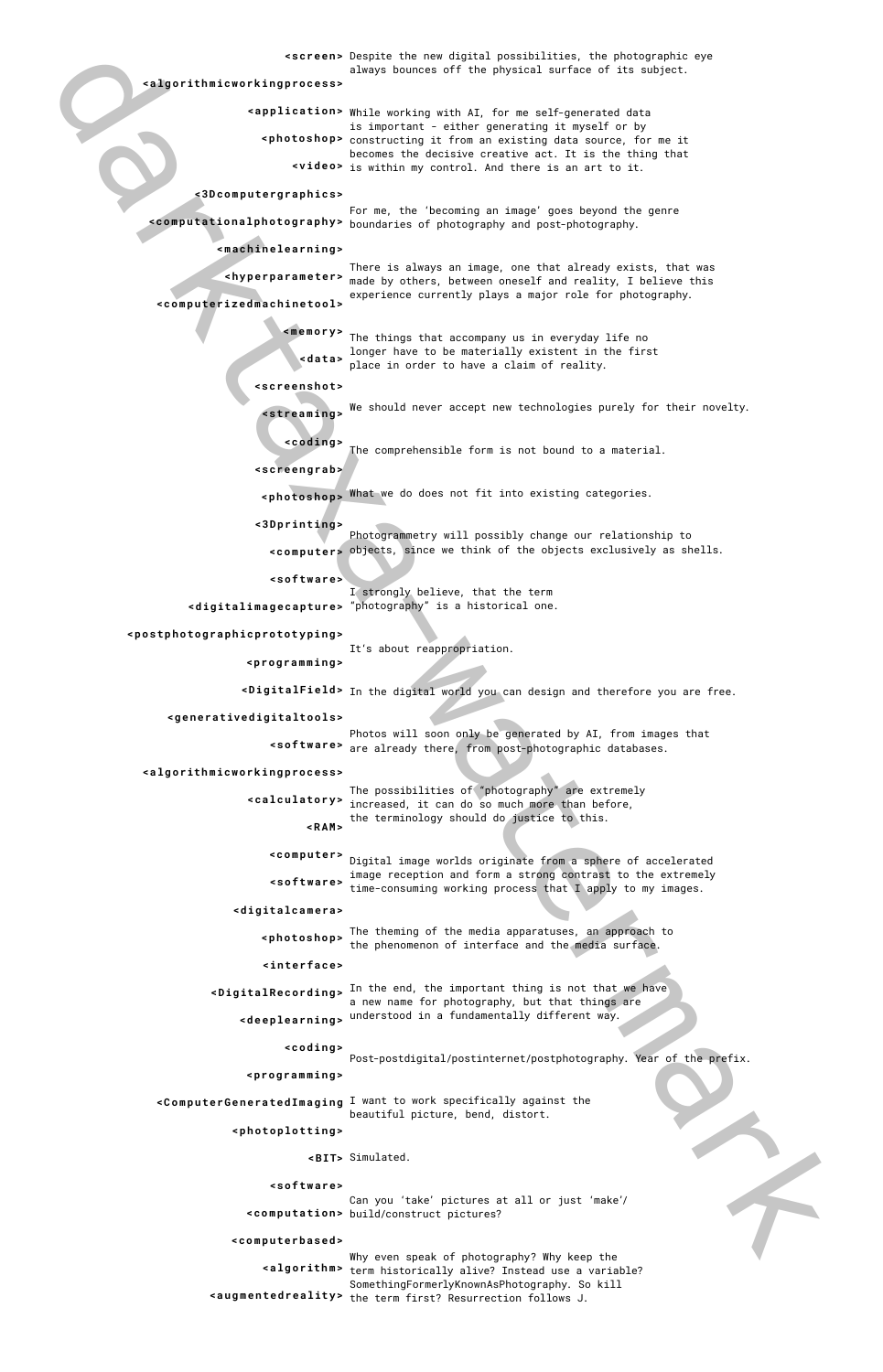The theming of the media apparatuses, an approach to sphotoshop> the enemany of the media apparacess, an approach

**<ComputerGeneratedImaging** I want to work specifically against the beautiful picture, bend, distort.

> Why even speak of photography? Why keep the **<algorithm>** term historically alive? Instead use a variable? SomethingFormerlyKnownAsPhotography. So kill **<augmentedreality>** the term first? Resurrection follows J.



darktaxa-watermark **<screen>** Despite the new digital possibilities, the photographic eye always bounces off the physical surface of its subject. **<application>** While working with AI, for me self-generated data is important - either generating it myself or by **<photoshop>** constructing it from an existing data source, for me it becomes the decisive creative act. It is the thing that **<video>** is within my control. And there is an art to it. For me, the 'becoming an image' goes beyond the genre **<computationalphotography>** boundaries of photography and post-photography. There is always an image, one that already exists, that was made by others, between oneself and reality, I believe this **<hyperparameter>** experience currently plays a major role for photography. The things that accompany us in everyday life no longer have to be materially existent in the first place in order to have a claim of reality. **<data>** We should never accept new technologies purely for their novelty. The comprehensible form is not bound to a material. 7 What we do does not fit into existing categories. **<photoshop>** Photogrammetry will possibly change our relationship to objects, since we think of the objects exclusively as shells. **<computer>** N I strongly believe, that the term "photography" is a historical one. **<digitalimagecapture>** It's about reappropriation. **<DigitalField>** In the digital world you can design and therefore you are free. Photos will soon only be generated by AI, from images that  $\leq$  software> are already there, from post-photographic databases. The possibilities of "photography" are extremely **<algorithmicworkingprocess> <3Dcomputergraphics> <machinelearning> <computerizedmachinetool> <memory> <screenshot> <streaming> <coding> <screengrab> <3Dprinting> <software> <postphotographicprototyping> <programming> <generativedigitaltools> <algorithmicworkingprocess>**

**<DigitalRecording>** In the end, the important thing is not that we have a new name for photography, but that things are understood in a fundamentally different way. **<deeplearning>**

Post-postdigital/postinternet/postphotography. Year of the prefix.

increased, it can do so much more than before, **<calculatory>** the terminology should do justice to this. **<RAM>**

Digital image worlds originate from a sphere of accelerated **<computer>** image reception and form a strong contrast to the extremely time-consuming working process that I apply to my images. **<software>**

Simulated. **<BIT>**

Can you 'take' pictures at all or just 'make'/ build/construct pictures? **<computation>**

**<digitalcamera>**

**<interface>**

**<coding>**

**<programming>**

**<photoplotting>**

**<software>**

**<computerbased>**